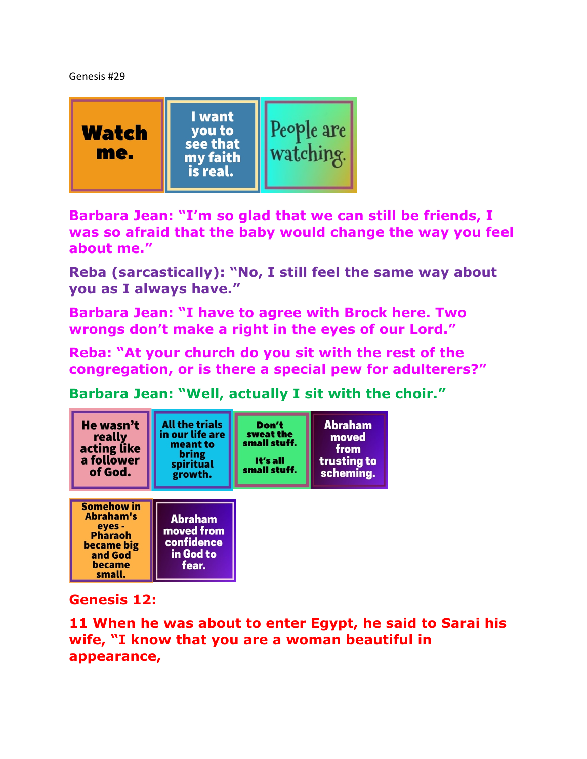Genesis #29



**Barbara Jean: "I'm so glad that we can still be friends, I was so afraid that the baby would change the way you feel about me."** 

**Reba (sarcastically): "No, I still feel the same way about you as I always have."**

**Barbara Jean: "I have to agree with Brock here. Two wrongs don't make a right in the eyes of our Lord."** 

**Reba: "At your church do you sit with the rest of the congregation, or is there a special pew for adulterers?"** 

**Barbara Jean: "Well, actually I sit with the choir."** 



## **Genesis 12:**

**11 When he was about to enter Egypt, he said to Sarai his wife, "I know that you are a woman beautiful in appearance,**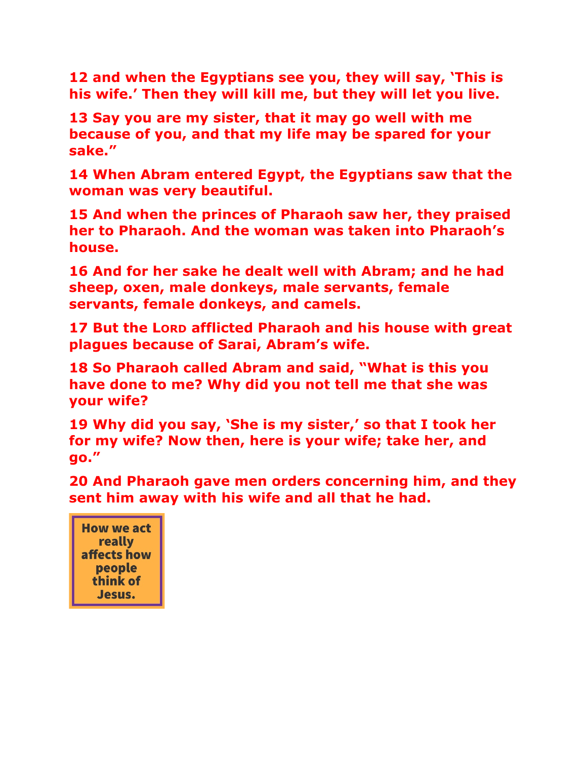**12 and when the Egyptians see you, they will say, 'This is his wife.' Then they will kill me, but they will let you live.** 

**13 Say you are my sister, that it may go well with me because of you, and that my life may be spared for your sake."** 

**14 When Abram entered Egypt, the Egyptians saw that the woman was very beautiful.** 

**15 And when the princes of Pharaoh saw her, they praised her to Pharaoh. And the woman was taken into Pharaoh's house.** 

**16 And for her sake he dealt well with Abram; and he had sheep, oxen, male donkeys, male servants, female servants, female donkeys, and camels.** 

**17 But the LORD afflicted Pharaoh and his house with great plagues because of Sarai, Abram's wife.** 

**18 So Pharaoh called Abram and said, "What is this you have done to me? Why did you not tell me that she was your wife?** 

**19 Why did you say, 'She is my sister,' so that I took her for my wife? Now then, here is your wife; take her, and go."** 

**20 And Pharaoh gave men orders concerning him, and they sent him away with his wife and all that he had.** 

**How we act** really affects how people think of Jesus.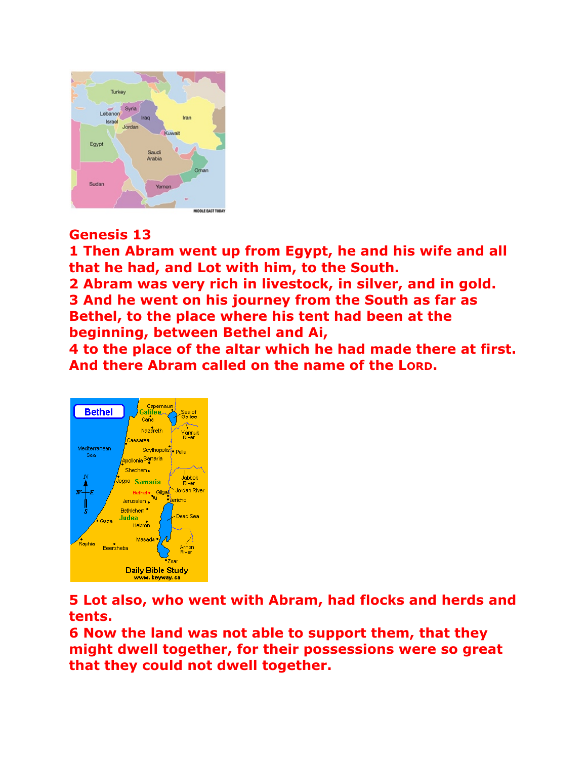

## **Genesis 13**

**1 Then Abram went up from Egypt, he and his wife and all that he had, and Lot with him, to the South.** 

**2 Abram was very rich in livestock, in silver, and in gold. 3 And he went on his journey from the South as far as Bethel, to the place where his tent had been at the beginning, between Bethel and Ai,** 

**4 to the place of the altar which he had made there at first. And there Abram called on the name of the LORD.** 



**5 Lot also, who went with Abram, had flocks and herds and tents.** 

**6 Now the land was not able to support them, that they might dwell together, for their possessions were so great that they could not dwell together.**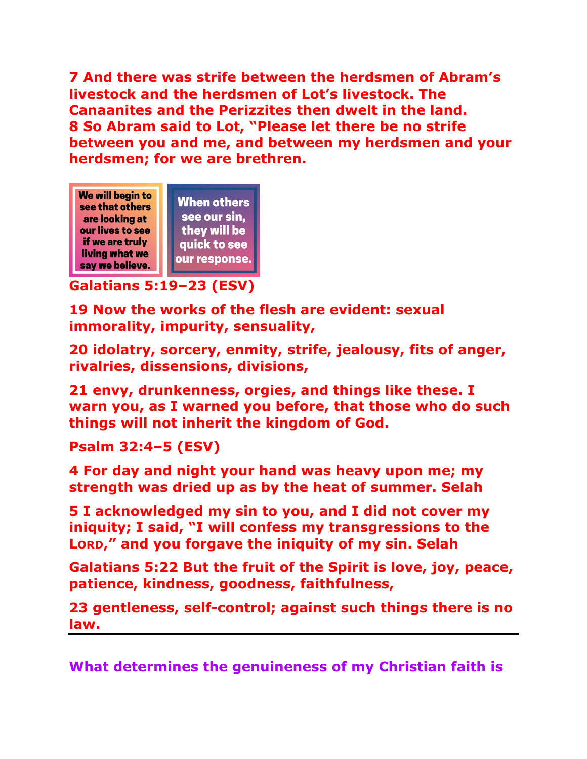**7 And there was strife between the herdsmen of Abram's livestock and the herdsmen of Lot's livestock. The Canaanites and the Perizzites then dwelt in the land. 8 So Abram said to Lot, "Please let there be no strife between you and me, and between my herdsmen and your herdsmen; for we are brethren.** 



## **Galatians 5:19–23 (ESV)**

**19 Now the works of the flesh are evident: sexual immorality, impurity, sensuality,** 

**20 idolatry, sorcery, enmity, strife, jealousy, fits of anger, rivalries, dissensions, divisions,** 

**21 envy, drunkenness, orgies, and things like these. I warn you, as I warned you before, that those who do such things will not inherit the kingdom of God.** 

**Psalm 32:4–5 (ESV)** 

**4 For day and night your hand was heavy upon me; my strength was dried up as by the heat of summer. Selah** 

**5 I acknowledged my sin to you, and I did not cover my iniquity; I said, "I will confess my transgressions to the LORD," and you forgave the iniquity of my sin. Selah** 

**Galatians 5:22 But the fruit of the Spirit is love, joy, peace, patience, kindness, goodness, faithfulness,** 

**23 gentleness, self-control; against such things there is no law.** 

**What determines the genuineness of my Christian faith is**